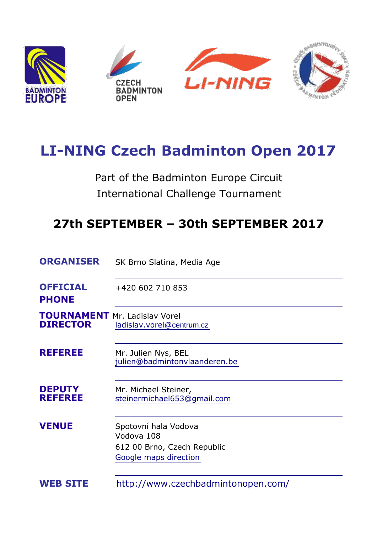

# **LI-NING Czech Badminton Open 2017**

Part of the Badminton Europe Circuit International Challenge Tournament

## **27th SEPTEMBER – 30th SEPTEMBER 2017**

| <b>ORGANISER</b>                                        | SK Brno Slatina, Media Age                                                                 |  |
|---------------------------------------------------------|--------------------------------------------------------------------------------------------|--|
| <b>OFFICIAL</b><br><b>PHONE</b>                         | +420 602 710 853                                                                           |  |
| <b>TOURNAMENT</b> Mr. Ladislav Vorel<br><b>DIRECTOR</b> | ladislav.vorel@centrum.cz                                                                  |  |
| <b>REFEREE</b>                                          | Mr. Julien Nys, BEL<br>julien@badmintonvlaanderen.be                                       |  |
| <b>DEPUTY</b><br><b>REFEREE</b>                         | Mr. Michael Steiner,<br>steinermichael653@gmail.com                                        |  |
| <b>VENUE</b>                                            | Spotovní hala Vodova<br>Vodova 108<br>612 00 Brno, Czech Republic<br>Google maps direction |  |
| <b>WEB SITE</b>                                         | http://www.czechbadmintonopen.com/                                                         |  |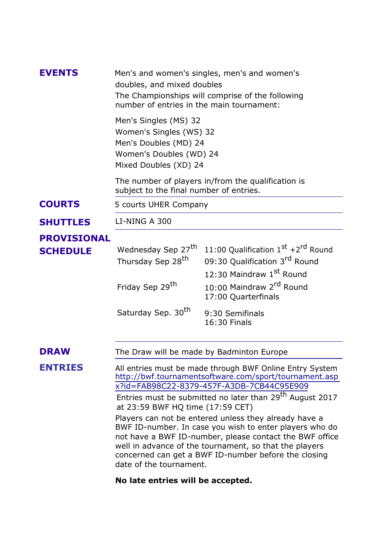| <b>EVENTS</b>      | Men's and women's singles, men's and women's<br>doubles, and mixed doubles<br>The Championships will comprise of the following<br>number of entries in the main tournament:                                                                                                                                                                                                                                                          |                                                                                 |  |
|--------------------|--------------------------------------------------------------------------------------------------------------------------------------------------------------------------------------------------------------------------------------------------------------------------------------------------------------------------------------------------------------------------------------------------------------------------------------|---------------------------------------------------------------------------------|--|
|                    | Men's Singles (MS) 32<br>Women's Singles (WS) 32<br>Men's Doubles (MD) 24<br>Women's Doubles (WD) 24<br>Mixed Doubles (XD) 24                                                                                                                                                                                                                                                                                                        |                                                                                 |  |
|                    | The number of players in/from the qualification is<br>subject to the final number of entries.                                                                                                                                                                                                                                                                                                                                        |                                                                                 |  |
| <b>COURTS</b>      | 5 courts UHER Company                                                                                                                                                                                                                                                                                                                                                                                                                |                                                                                 |  |
| <b>SHUTTLES</b>    | LI-NING A 300                                                                                                                                                                                                                                                                                                                                                                                                                        |                                                                                 |  |
| <b>PROVISIONAL</b> |                                                                                                                                                                                                                                                                                                                                                                                                                                      |                                                                                 |  |
| <b>SCHEDULE</b>    | Wednesday Sep 27 <sup>th</sup><br>Thursday Sep 28 <sup>th</sup>                                                                                                                                                                                                                                                                                                                                                                      | 11:00 Qualification 1st +2rd Round<br>09:30 Qualification 3 <sup>rd</sup> Round |  |
|                    |                                                                                                                                                                                                                                                                                                                                                                                                                                      | 12:30 Maindraw 1st Round                                                        |  |
|                    | Friday Sep 29 <sup>th</sup>                                                                                                                                                                                                                                                                                                                                                                                                          | 10:00 Maindraw 2 <sup>rd</sup> Round<br>17:00 Quarterfinals                     |  |
|                    | Saturday Sep. 30 <sup>th</sup>                                                                                                                                                                                                                                                                                                                                                                                                       | 9:30 Semifinals<br>16:30 Finals                                                 |  |
| <b>DRAW</b>        | The Draw will be made by Badminton Europe                                                                                                                                                                                                                                                                                                                                                                                            |                                                                                 |  |
| <b>ENTRIES</b>     | All entries must be made through BWF Online Entry System<br>http://bwf.tournamentsoftware.com/sport/tournament.asp<br>x?id=FAB98C22-8379-457F-A3DB-7CB44C95E909                                                                                                                                                                                                                                                                      |                                                                                 |  |
|                    | Entries must be submitted no later than 29 <sup>th</sup> August 2017<br>at 23:59 BWF HQ time (17:59 CET)<br>Players can not be entered unless they already have a<br>BWF ID-number. In case you wish to enter players who do<br>not have a BWF ID-number, please contact the BWF office<br>well in advance of the tournament, so that the players<br>concerned can get a BWF ID-number before the closing<br>date of the tournament. |                                                                                 |  |
|                    |                                                                                                                                                                                                                                                                                                                                                                                                                                      |                                                                                 |  |

### **No late entries will be accepted.**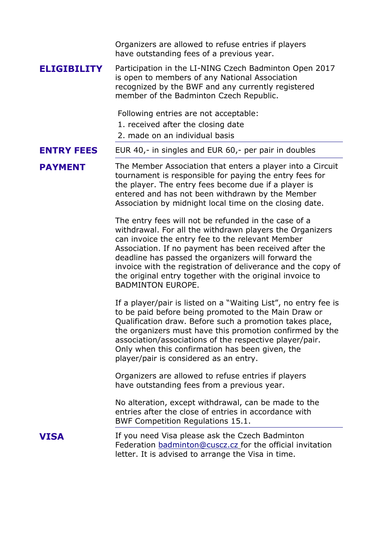Organizers are allowed to refuse entries if players have outstanding fees of a previous year.

**ELIGIBILITY** Participation in the LI-NING Czech Badminton Open 2017 is open to members of any National Association recognized by the BWF and any currently registered member of the Badminton Czech Republic.

Following entries are not acceptable:

1. received after the closing date

2. made on an individual basis

**ENTRY FEES**  EUR 40,- in singles and EUR 60,- per pair in doubles

**PAYMENT** The Member Association that enters a player into a Circuit tournament is responsible for paying the entry fees for the player. The entry fees become due if a player is entered and has not been withdrawn by the Member Association by midnight local time on the closing date.

> The entry fees will not be refunded in the case of a withdrawal. For all the withdrawn players the Organizers can invoice the entry fee to the relevant Member Association. If no payment has been received after the deadline has passed the organizers will forward the invoice with the registration of deliverance and the copy of the original entry together with the original invoice to BADMINTON EUROPE.

> If a player/pair is listed on a "Waiting List", no entry fee is to be paid before being promoted to the Main Draw or Qualification draw. Before such a promotion takes place, the organizers must have this promotion confirmed by the association/associations of the respective player/pair. Only when this confirmation has been given, the player/pair is considered as an entry.

Organizers are allowed to refuse entries if players have outstanding fees from a previous year.

No alteration, except withdrawal, can be made to the entries after the close of entries in accordance with BWF Competition Regulations 15.1.

**VISA** If you need Visa please ask the Czech Badminton Federation [badminton@cuscz.cz](mailto:badminton@cuscz.cz) for the official invitation letter. It is advised to arrange the Visa in time.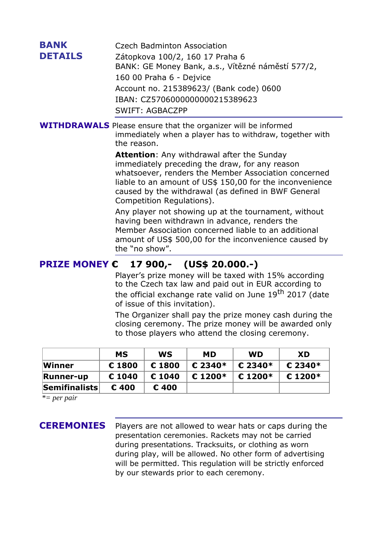| <b>BANK</b><br><b>DETAILS</b> | Czech Badminton Association<br>Zátopkova 100/2, 160 17 Praha 6<br>BANK: GE Money Bank, a.s., Vítězné náměstí 577/2,<br>160 00 Praha 6 - Dejvice<br>Account no. 215389623/ (Bank code) 0600<br>IBAN: CZ5706000000000215389623<br><b>SWIFT: AGBACZPP</b>                                                      |
|-------------------------------|-------------------------------------------------------------------------------------------------------------------------------------------------------------------------------------------------------------------------------------------------------------------------------------------------------------|
|                               | <b>WITHDRAWALS</b> Please ensure that the organizer will be informed<br>immediately when a player has to withdraw, together with<br>the reason.                                                                                                                                                             |
|                               | <b>Attention:</b> Any withdrawal after the Sunday<br>immediately preceding the draw, for any reason<br>whatsoever, renders the Member Association concerned<br>liable to an amount of US\$ 150,00 for the inconvenience<br>caused by the withdrawal (as defined in BWF General<br>Competition Regulations). |
|                               | Any player not showing up at the tournament, without<br>having been withdrawn in advance, renders the<br>Member Association concerned liable to an additional<br>amount of US\$ 500,00 for the inconvenience caused by<br>the "no show".                                                                    |
| <b>PRIZE MONEY €</b>          | 17 900,- (US\$ 20.000.-)                                                                                                                                                                                                                                                                                    |
|                               | Player's prize money will be taxed with 15% according<br>to the Czech tax law and paid out in EUR according to<br>the official exchange rate valid on June 19 <sup>th</sup> 2017 (date<br>of issue of this invitation).                                                                                     |

The Organizer shall pay the prize money cash during the closing ceremony. The prize money will be awarded only to those players who attend the closing ceremony.

|                            | <b>MS</b> | WS              | <b>MD</b>  | <b>WD</b>           | <b>XD</b> |
|----------------------------|-----------|-----------------|------------|---------------------|-----------|
| Winner                     | € 1800    | € 1800          | € 2340 $*$ | € 2340*             | $E$ 2340* |
| <b>Runner-up</b>           | € 1040    | $\epsilon$ 1040 | $£ 1200*$  | € 1200 <sup>*</sup> | $E$ 1200* |
| $ \mathsf{Semifinalists} $ | € 400     | € 400           |            |                     |           |

*\*= per pair*

**CEREMONIES** Players are not allowed to wear hats or caps during the presentation ceremonies. Rackets may not be carried during presentations. Tracksuits, or clothing as worn during play, will be allowed. No other form of advertising will be permitted. This regulation will be strictly enforced by our stewards prior to each ceremony.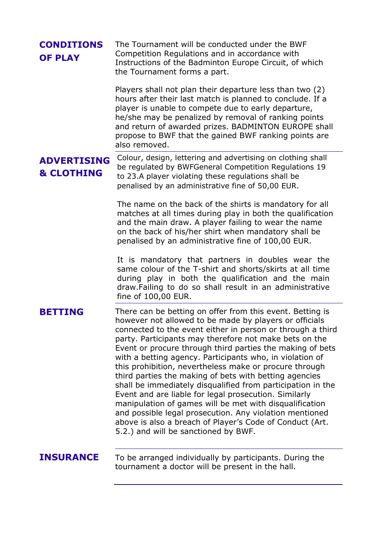| <b>CONDITIONS</b><br><b>OF PLAY</b>         | The Tournament will be conducted under the BWF<br>Competition Regulations and in accordance with<br>Instructions of the Badminton Europe Circuit, of which<br>the Tournament forms a part.                                                                                                                                                                                                                                                                                                                                                                                                                                                                                                                                                                                                                                                 |
|---------------------------------------------|--------------------------------------------------------------------------------------------------------------------------------------------------------------------------------------------------------------------------------------------------------------------------------------------------------------------------------------------------------------------------------------------------------------------------------------------------------------------------------------------------------------------------------------------------------------------------------------------------------------------------------------------------------------------------------------------------------------------------------------------------------------------------------------------------------------------------------------------|
|                                             | Players shall not plan their departure less than two (2)<br>hours after their last match is planned to conclude. If a<br>player is unable to compete due to early departure,<br>he/she may be penalized by removal of ranking points<br>and return of awarded prizes. BADMINTON EUROPE shall<br>propose to BWF that the gained BWF ranking points are<br>also removed.                                                                                                                                                                                                                                                                                                                                                                                                                                                                     |
| <b>ADVERTISING</b><br><b>&amp; CLOTHING</b> | Colour, design, lettering and advertising on clothing shall<br>be regulated by BWFGeneral Competition Regulations 19<br>to 23.A player violating these regulations shall be<br>penalised by an administrative fine of 50,00 EUR.                                                                                                                                                                                                                                                                                                                                                                                                                                                                                                                                                                                                           |
|                                             | The name on the back of the shirts is mandatory for all<br>matches at all times during play in both the qualification<br>and the main draw. A player failing to wear the name<br>on the back of his/her shirt when mandatory shall be<br>penalised by an administrative fine of 100,00 EUR.                                                                                                                                                                                                                                                                                                                                                                                                                                                                                                                                                |
|                                             | It is mandatory that partners in doubles wear the<br>same colour of the T-shirt and shorts/skirts at all time<br>during play in both the qualification and the main<br>draw. Failing to do so shall result in an administrative<br>fine of 100,00 EUR.                                                                                                                                                                                                                                                                                                                                                                                                                                                                                                                                                                                     |
| <b>BETTING</b>                              | There can be betting on offer from this event. Betting is<br>however not allowed to be made by players or officials<br>connected to the event either in person or through a third<br>party. Participants may therefore not make bets on the<br>Event or procure through third parties the making of bets<br>with a betting agency. Participants who, in violation of<br>this prohibition, nevertheless make or procure through<br>third parties the making of bets with betting agencies<br>shall be immediately disqualified from participation in the<br>Event and are liable for legal prosecution. Similarly<br>manipulation of games will be met with disqualification<br>and possible legal prosecution. Any violation mentioned<br>above is also a breach of Player's Code of Conduct (Art.<br>5.2.) and will be sanctioned by BWF. |
| <b>INSURANCE</b>                            | To be arranged individually by participants. During the<br>tournament a doctor will be present in the hall.                                                                                                                                                                                                                                                                                                                                                                                                                                                                                                                                                                                                                                                                                                                                |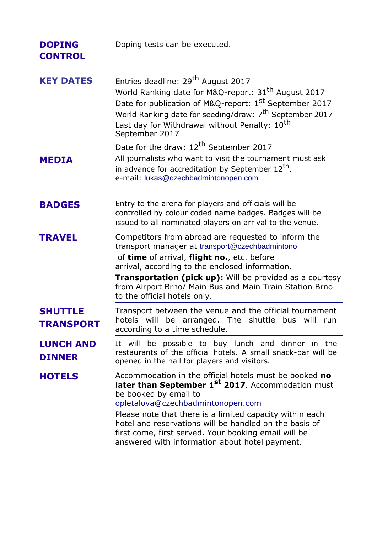| <b>DOPING</b><br><b>CONTROL</b>    | Doping tests can be executed.                                                                                                                                                                                                                                                                                                                                                                                         |  |
|------------------------------------|-----------------------------------------------------------------------------------------------------------------------------------------------------------------------------------------------------------------------------------------------------------------------------------------------------------------------------------------------------------------------------------------------------------------------|--|
| <b>KEY DATES</b>                   | Entries deadline: 29 <sup>th</sup> August 2017<br>World Ranking date for M&Q-report: 31 <sup>th</sup> August 2017<br>Date for publication of M&Q-report: 1 <sup>st</sup> September 2017<br>World Ranking date for seeding/draw: 7 <sup>th</sup> September 2017<br>Last day for Withdrawal without Penalty: 10 <sup>th</sup><br>September 2017                                                                         |  |
|                                    | Date for the draw: 12 <sup>th</sup> September 2017                                                                                                                                                                                                                                                                                                                                                                    |  |
| <b>MEDIA</b>                       | All journalists who want to visit the tournament must ask<br>in advance for accreditation by September $12^{th}$ ,<br>e-mail: lukas@czechbadmintonopen.com                                                                                                                                                                                                                                                            |  |
| <b>BADGES</b>                      | Entry to the arena for players and officials will be<br>controlled by colour coded name badges. Badges will be<br>issued to all nominated players on arrival to the venue.                                                                                                                                                                                                                                            |  |
| <b>TRAVEL</b>                      | Competitors from abroad are requested to inform the<br>transport manager at transport@czechbadmintono<br>of time of arrival, flight no., etc. before<br>arrival, according to the enclosed information.<br><b>Transportation (pick up):</b> Will be provided as a courtesy<br>from Airport Brno/ Main Bus and Main Train Station Brno<br>to the official hotels only.                                                 |  |
| <b>SHUTTLE</b><br><b>TRANSPORT</b> | Transport between the venue and the official tournament<br>hotels will be arranged. The shuttle bus will run<br>according to a time schedule.                                                                                                                                                                                                                                                                         |  |
| <b>LUNCH AND</b><br><b>DINNER</b>  | It will be possible to buy lunch and dinner in the<br>restaurants of the official hotels. A small snack-bar will be<br>opened in the hall for players and visitors.                                                                                                                                                                                                                                                   |  |
| <b>HOTELS</b>                      | Accommodation in the official hotels must be booked no<br>later than September 1 <sup>st</sup> 2017. Accommodation must<br>be booked by email to<br>opletalova@czechbadmintonopen.com<br>Please note that there is a limited capacity within each<br>hotel and reservations will be handled on the basis of<br>first come, first served. Your booking email will be<br>answered with information about hotel payment. |  |